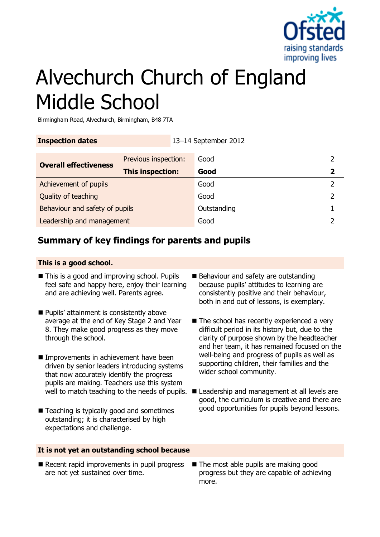

# Alvechurch Church of England Middle School

Birmingham Road, Alvechurch, Birmingham, B48 7TA

| <b>Inspection dates</b>        |                         | 13-14 September 2012 |               |
|--------------------------------|-------------------------|----------------------|---------------|
| <b>Overall effectiveness</b>   | Previous inspection:    | Good                 | 2             |
|                                | <b>This inspection:</b> | Good                 | $\mathbf{2}$  |
| Achievement of pupils          |                         | Good                 | $\mathcal{L}$ |
| Quality of teaching            |                         | Good                 | 2             |
| Behaviour and safety of pupils |                         | Outstanding          |               |

**Leadership and management Cool Cool Cool 2 2** 

# **Summary of key findings for parents and pupils**

#### **This is a good school.**

- This is a good and improving school. Pupils feel safe and happy here, enjoy their learning and are achieving well. Parents agree.
- **Pupils' attainment is consistently above** average at the end of Key Stage 2 and Year 8. They make good progress as they move through the school.
- **Improvements in achievement have been** driven by senior leaders introducing systems that now accurately identify the progress pupils are making. Teachers use this system
- Teaching is typically good and sometimes outstanding; it is characterised by high expectations and challenge.
- Behaviour and safety are outstanding because pupils' attitudes to learning are consistently positive and their behaviour, both in and out of lessons, is exemplary.
- $\blacksquare$  The school has recently experienced a very difficult period in its history but, due to the clarity of purpose shown by the headteacher and her team, it has remained focused on the well-being and progress of pupils as well as supporting children, their families and the wider school community.
- well to match teaching to the needs of pupils.  $\blacksquare$  Leadership and management at all levels are good, the curriculum is creative and there are good opportunities for pupils beyond lessons.

#### **It is not yet an outstanding school because**

- Recent rapid improvements in pupil progress are not yet sustained over time.
- The most able pupils are making good progress but they are capable of achieving more.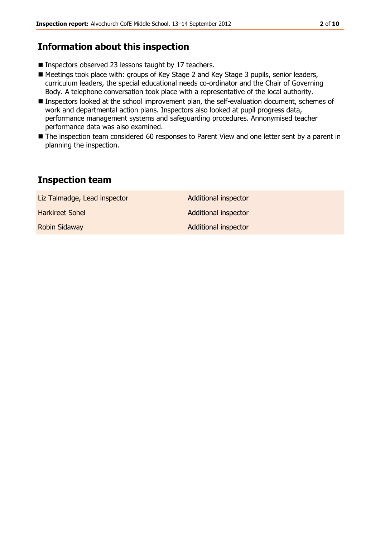# **Information about this inspection**

- Inspectors observed 23 lessons taught by 17 teachers.
- Meetings took place with: groups of Key Stage 2 and Key Stage 3 pupils, senior leaders, curriculum leaders, the special educational needs co-ordinator and the Chair of Governing Body. A telephone conversation took place with a representative of the local authority.
- Inspectors looked at the school improvement plan, the self-evaluation document, schemes of work and departmental action plans. Inspectors also looked at pupil progress data, performance management systems and safeguarding procedures. Annonymised teacher performance data was also examined.
- The inspection team considered 60 responses to Parent View and one letter sent by a parent in planning the inspection.

## **Inspection team**

| Liz Talmadge, Lead inspector | <b>Additional inspector</b> |
|------------------------------|-----------------------------|
| Harkireet Sohel              | <b>Additional inspector</b> |
| <b>Robin Sidaway</b>         | Additional inspector        |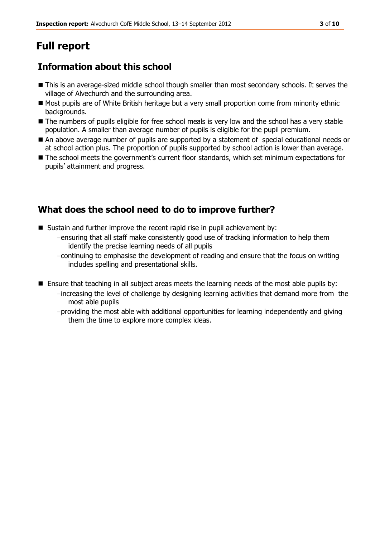# **Full report**

# **Information about this school**

- This is an average-sized middle school though smaller than most secondary schools. It serves the village of Alvechurch and the surrounding area.
- Most pupils are of White British heritage but a very small proportion come from minority ethnic backgrounds.
- The numbers of pupils eligible for free school meals is very low and the school has a very stable population. A smaller than average number of pupils is eligible for the pupil premium.
- An above average number of pupils are supported by a statement of special educational needs or at school action plus. The proportion of pupils supported by school action is lower than average.
- The school meets the government's current floor standards, which set minimum expectations for pupils' attainment and progress.

# **What does the school need to do to improve further?**

- Sustain and further improve the recent rapid rise in pupil achievement by:
	- -ensuring that all staff make consistently good use of tracking information to help them identify the precise learning needs of all pupils
	- -continuing to emphasise the development of reading and ensure that the focus on writing includes spelling and presentational skills.
- **Ensure that teaching in all subject areas meets the learning needs of the most able pupils by:** -increasing the level of challenge by designing learning activities that demand more from the most able pupils
	- -providing the most able with additional opportunities for learning independently and giving them the time to explore more complex ideas.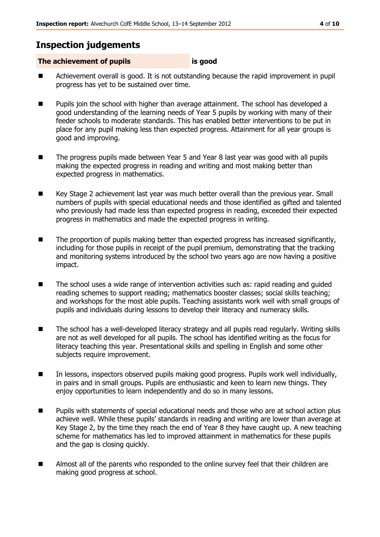### **Inspection judgements**

#### **The achievement of pupils is good**

- Achievement overall is good. It is not outstanding because the rapid improvement in pupil progress has yet to be sustained over time.
- **Pupils join the school with higher than average attainment. The school has developed a** good understanding of the learning needs of Year 5 pupils by working with many of their feeder schools to moderate standards. This has enabled better interventions to be put in place for any pupil making less than expected progress. Attainment for all year groups is good and improving.
- The progress pupils made between Year 5 and Year 8 last year was good with all pupils making the expected progress in reading and writing and most making better than expected progress in mathematics.
- Key Stage 2 achievement last year was much better overall than the previous year. Small numbers of pupils with special educational needs and those identified as gifted and talented who previously had made less than expected progress in reading, exceeded their expected progress in mathematics and made the expected progress in writing.
- **The proportion of pupils making better than expected progress has increased significantly,** including for those pupils in receipt of the pupil premium, demonstrating that the tracking and monitoring systems introduced by the school two years ago are now having a positive impact.
- The school uses a wide range of intervention activities such as: rapid reading and guided reading schemes to support reading; mathematics booster classes; social skills teaching; and workshops for the most able pupils. Teaching assistants work well with small groups of pupils and individuals during lessons to develop their literacy and numeracy skills.
- The school has a well-developed literacy strategy and all pupils read regularly. Writing skills are not as well developed for all pupils. The school has identified writing as the focus for literacy teaching this year. Presentational skills and spelling in English and some other subjects require improvement.
- In lessons, inspectors observed pupils making good progress. Pupils work well individually, in pairs and in small groups. Pupils are enthusiastic and keen to learn new things. They enjoy opportunities to learn independently and do so in many lessons.
- **Pupils with statements of special educational needs and those who are at school action plus** achieve well. While these pupils' standards in reading and writing are lower than average at Key Stage 2, by the time they reach the end of Year 8 they have caught up. A new teaching scheme for mathematics has led to improved attainment in mathematics for these pupils and the gap is closing quickly.
- Almost all of the parents who responded to the online survey feel that their children are making good progress at school.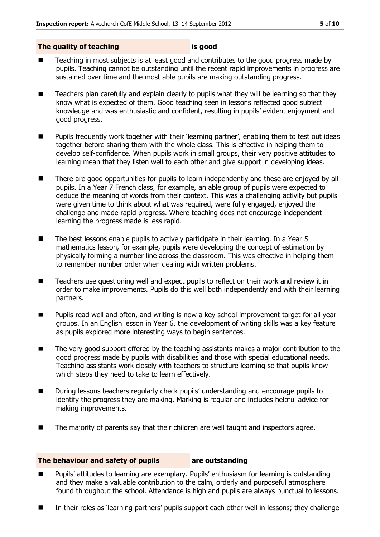#### **The quality of teaching is good**

- Teaching in most subjects is at least good and contributes to the good progress made by pupils. Teaching cannot be outstanding until the recent rapid improvements in progress are sustained over time and the most able pupils are making outstanding progress.
- Teachers plan carefully and explain clearly to pupils what they will be learning so that they know what is expected of them. Good teaching seen in lessons reflected good subject knowledge and was enthusiastic and confident, resulting in pupils' evident enjoyment and good progress.
- **Pupils frequently work together with their 'learning partner', enabling them to test out ideas** together before sharing them with the whole class. This is effective in helping them to develop self-confidence. When pupils work in small groups, their very positive attitudes to learning mean that they listen well to each other and give support in developing ideas.
- **There are good opportunities for pupils to learn independently and these are enjoyed by all** pupils. In a Year 7 French class, for example, an able group of pupils were expected to deduce the meaning of words from their context. This was a challenging activity but pupils were given time to think about what was required, were fully engaged, enjoyed the challenge and made rapid progress. Where teaching does not encourage independent learning the progress made is less rapid.
- The best lessons enable pupils to actively participate in their learning. In a Year 5 mathematics lesson, for example, pupils were developing the concept of estimation by physically forming a number line across the classroom. This was effective in helping them to remember number order when dealing with written problems.
- Teachers use questioning well and expect pupils to reflect on their work and review it in order to make improvements. Pupils do this well both independently and with their learning partners.
- **Pupils read well and often, and writing is now a key school improvement target for all year** groups. In an English lesson in Year 6, the development of writing skills was a key feature as pupils explored more interesting ways to begin sentences.
- The very good support offered by the teaching assistants makes a major contribution to the good progress made by pupils with disabilities and those with special educational needs. Teaching assistants work closely with teachers to structure learning so that pupils know which steps they need to take to learn effectively.
- During lessons teachers regularly check pupils' understanding and encourage pupils to identify the progress they are making. Marking is regular and includes helpful advice for making improvements.
- The majority of parents say that their children are well taught and inspectors agree.

#### **The behaviour and safety of pupils are outstanding**

- Pupils' attitudes to learning are exemplary. Pupils' enthusiasm for learning is outstanding and they make a valuable contribution to the calm, orderly and purposeful atmosphere found throughout the school. Attendance is high and pupils are always punctual to lessons.
- In their roles as 'learning partners' pupils support each other well in lessons; they challenge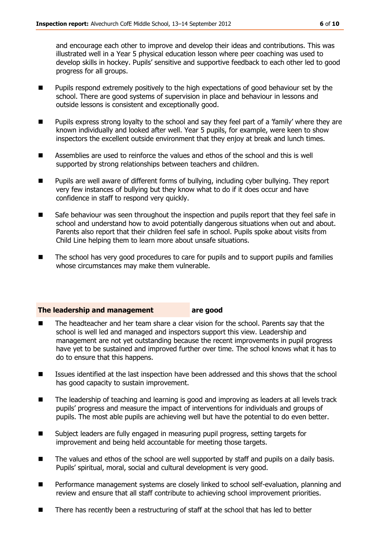and encourage each other to improve and develop their ideas and contributions. This was illustrated well in a Year 5 physical education lesson where peer coaching was used to develop skills in hockey. Pupils' sensitive and supportive feedback to each other led to good progress for all groups.

- Pupils respond extremely positively to the high expectations of good behaviour set by the school. There are good systems of supervision in place and behaviour in lessons and outside lessons is consistent and exceptionally good.
- **Pupils express strong loyalty to the school and say they feel part of a 'family' where they are** known individually and looked after well. Year 5 pupils, for example, were keen to show inspectors the excellent outside environment that they enjoy at break and lunch times.
- Assemblies are used to reinforce the values and ethos of the school and this is well supported by strong relationships between teachers and children.
- Pupils are well aware of different forms of bullying, including cyber bullying. They report very few instances of bullying but they know what to do if it does occur and have confidence in staff to respond very quickly.
- **Safe behaviour was seen throughout the inspection and pupils report that they feel safe in** school and understand how to avoid potentially dangerous situations when out and about. Parents also report that their children feel safe in school. Pupils spoke about visits from Child Line helping them to learn more about unsafe situations.
- The school has very good procedures to care for pupils and to support pupils and families whose circumstances may make them vulnerable.

#### **The leadership and management are good**

- The headteacher and her team share a clear vision for the school. Parents say that the school is well led and managed and inspectors support this view. Leadership and management are not yet outstanding because the recent improvements in pupil progress have yet to be sustained and improved further over time. The school knows what it has to do to ensure that this happens.
- Issues identified at the last inspection have been addressed and this shows that the school has good capacity to sustain improvement.
- The leadership of teaching and learning is good and improving as leaders at all levels track pupils' progress and measure the impact of interventions for individuals and groups of pupils. The most able pupils are achieving well but have the potential to do even better.
- Subject leaders are fully engaged in measuring pupil progress, setting targets for improvement and being held accountable for meeting those targets.
- The values and ethos of the school are well supported by staff and pupils on a daily basis. Pupils' spiritual, moral, social and cultural development is very good.
- **Performance management systems are closely linked to school self-evaluation, planning and** review and ensure that all staff contribute to achieving school improvement priorities.
- There has recently been a restructuring of staff at the school that has led to better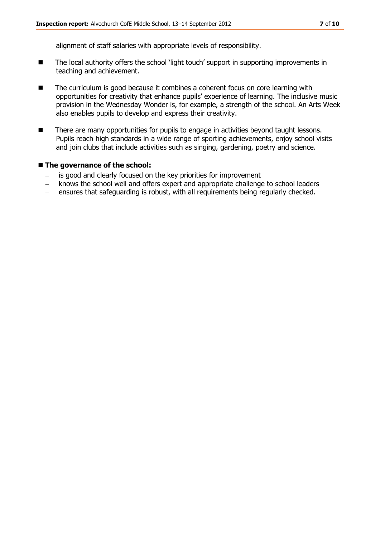alignment of staff salaries with appropriate levels of responsibility.

- The local authority offers the school 'light touch' support in supporting improvements in teaching and achievement.
- The curriculum is good because it combines a coherent focus on core learning with opportunities for creativity that enhance pupils' experience of learning. The inclusive music provision in the Wednesday Wonder is, for example, a strength of the school. An Arts Week also enables pupils to develop and express their creativity.
- There are many opportunities for pupils to engage in activities beyond taught lessons. Pupils reach high standards in a wide range of sporting achievements, enjoy school visits and join clubs that include activities such as singing, gardening, poetry and science.

#### ■ The governance of the school:

- is good and clearly focused on the key priorities for improvement
- knows the school well and offers expert and appropriate challenge to school leaders  $\frac{1}{2}$
- ensures that safeguarding is robust, with all requirements being regularly checked. $\equiv$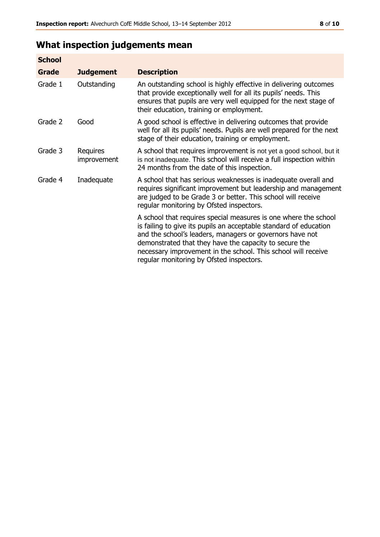# **What inspection judgements mean**

| <b>School</b> |                         |                                                                                                                                                                                                                                                                                                                                                                         |
|---------------|-------------------------|-------------------------------------------------------------------------------------------------------------------------------------------------------------------------------------------------------------------------------------------------------------------------------------------------------------------------------------------------------------------------|
| Grade         | <b>Judgement</b>        | <b>Description</b>                                                                                                                                                                                                                                                                                                                                                      |
| Grade 1       | Outstanding             | An outstanding school is highly effective in delivering outcomes<br>that provide exceptionally well for all its pupils' needs. This<br>ensures that pupils are very well equipped for the next stage of<br>their education, training or employment.                                                                                                                     |
| Grade 2       | Good                    | A good school is effective in delivering outcomes that provide<br>well for all its pupils' needs. Pupils are well prepared for the next<br>stage of their education, training or employment.                                                                                                                                                                            |
| Grade 3       | Requires<br>improvement | A school that requires improvement is not yet a good school, but it<br>is not inadequate. This school will receive a full inspection within<br>24 months from the date of this inspection.                                                                                                                                                                              |
| Grade 4       | Inadequate              | A school that has serious weaknesses is inadequate overall and<br>requires significant improvement but leadership and management<br>are judged to be Grade 3 or better. This school will receive<br>regular monitoring by Ofsted inspectors.                                                                                                                            |
|               |                         | A school that requires special measures is one where the school<br>is failing to give its pupils an acceptable standard of education<br>and the school's leaders, managers or governors have not<br>demonstrated that they have the capacity to secure the<br>necessary improvement in the school. This school will receive<br>regular monitoring by Ofsted inspectors. |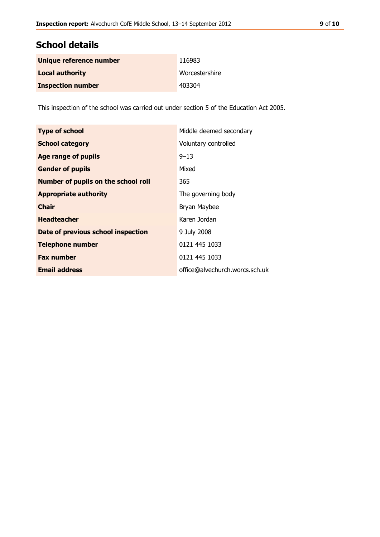# **School details**

| Unique reference number  | 116983         |
|--------------------------|----------------|
| <b>Local authority</b>   | Worcestershire |
| <b>Inspection number</b> | 403304         |

This inspection of the school was carried out under section 5 of the Education Act 2005.

| <b>Type of school</b>                      | Middle deemed secondary        |
|--------------------------------------------|--------------------------------|
| <b>School category</b>                     | Voluntary controlled           |
| Age range of pupils                        | $9 - 13$                       |
| <b>Gender of pupils</b>                    | Mixed                          |
| <b>Number of pupils on the school roll</b> | 365                            |
| <b>Appropriate authority</b>               | The governing body             |
| <b>Chair</b>                               | Bryan Maybee                   |
| <b>Headteacher</b>                         | Karen Jordan                   |
| Date of previous school inspection         | 9 July 2008                    |
| <b>Telephone number</b>                    | 0121 445 1033                  |
| <b>Fax number</b>                          | 0121 445 1033                  |
| <b>Email address</b>                       | office@alvechurch.worcs.sch.uk |